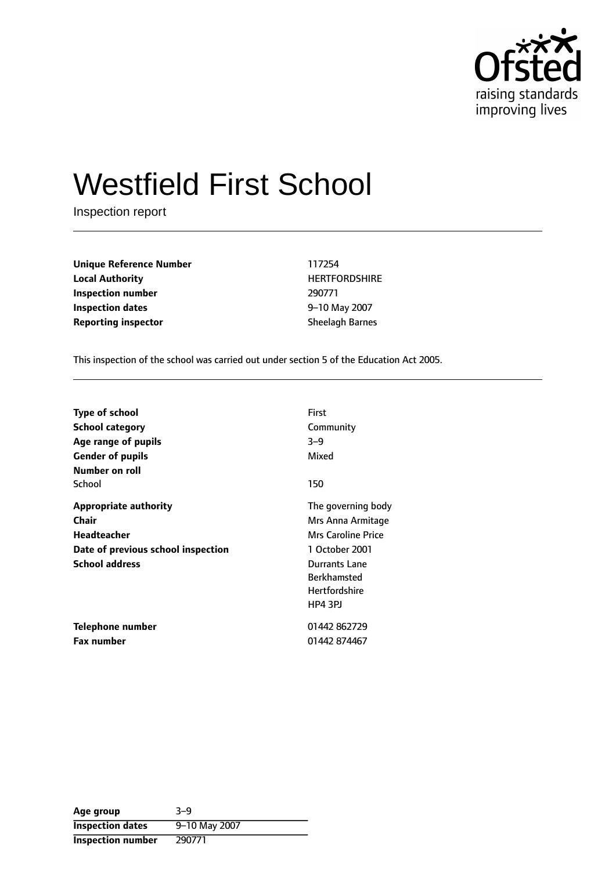

# Westfield First School

Inspection report

**Unique Reference Number** 117254 **Local Authority HERTFORDSHIRE Inspection number** 290771 **Inspection dates** 6 and **10** may 2007 **Reporting inspector** Sheelagh Barnes

This inspection of the school was carried out under section 5 of the Education Act 2005.

| <b>Type of school</b><br>School category<br>Age range of pupils                                              | First<br>Community<br>$3 - 9$                                                                                                                                           |
|--------------------------------------------------------------------------------------------------------------|-------------------------------------------------------------------------------------------------------------------------------------------------------------------------|
| <b>Gender of pupils</b><br>Number on roll                                                                    | Mixed                                                                                                                                                                   |
| School                                                                                                       | 150                                                                                                                                                                     |
| Appropriate authority<br>Chair<br>Headteacher<br>Date of previous school inspection<br><b>School address</b> | The governing body<br>Mrs Anna Armitage<br><b>Mrs Caroline Price</b><br>1 October 2001<br>Durrants Lane<br><b>Berkhamsted</b><br><b>Hertfordshire</b><br><b>HP4 3PJ</b> |
| Telephone number                                                                                             | 01442 862729                                                                                                                                                            |
| <b>Fax number</b>                                                                                            | 01442 874467                                                                                                                                                            |

| Age group               | $3 - 9$       |
|-------------------------|---------------|
| <b>Inspection dates</b> | 9-10 May 2007 |
| Inspection number       | 290771        |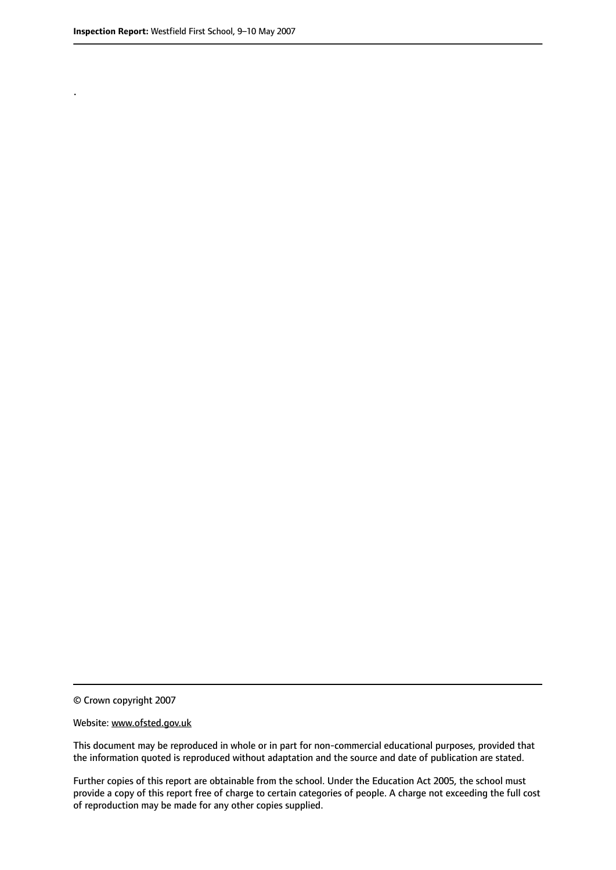.

© Crown copyright 2007

#### Website: www.ofsted.gov.uk

This document may be reproduced in whole or in part for non-commercial educational purposes, provided that the information quoted is reproduced without adaptation and the source and date of publication are stated.

Further copies of this report are obtainable from the school. Under the Education Act 2005, the school must provide a copy of this report free of charge to certain categories of people. A charge not exceeding the full cost of reproduction may be made for any other copies supplied.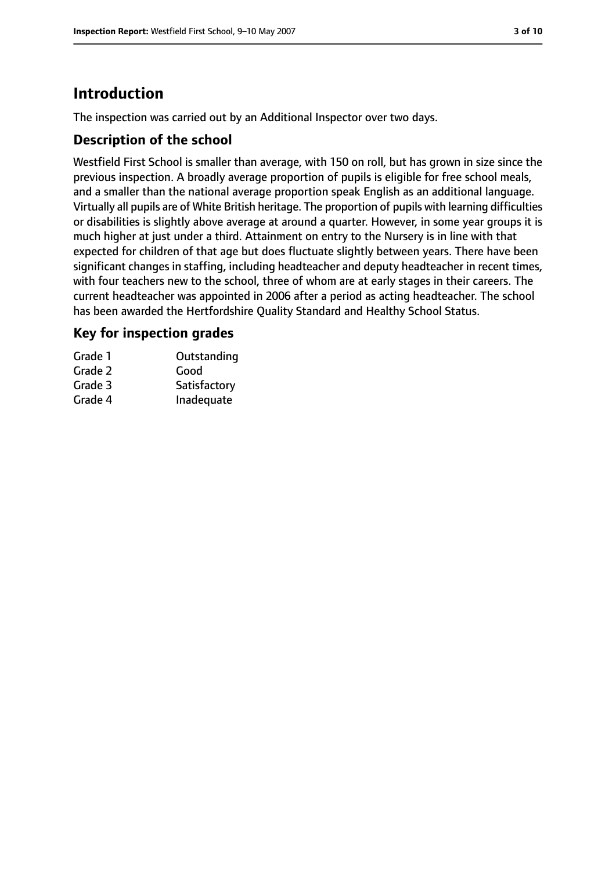# **Introduction**

The inspection was carried out by an Additional Inspector over two days.

## **Description of the school**

Westfield First School is smaller than average, with 150 on roll, but has grown in size since the previous inspection. A broadly average proportion of pupils is eligible for free school meals, and a smaller than the national average proportion speak English as an additional language. Virtually all pupils are of White British heritage. The proportion of pupils with learning difficulties or disabilities is slightly above average at around a quarter. However, in some year groups it is much higher at just under a third. Attainment on entry to the Nursery is in line with that expected for children of that age but does fluctuate slightly between years. There have been significant changes in staffing, including headteacher and deputy headteacher in recent times, with four teachers new to the school, three of whom are at early stages in their careers. The current headteacher was appointed in 2006 after a period as acting headteacher. The school has been awarded the Hertfordshire Quality Standard and Healthy School Status.

## **Key for inspection grades**

| Grade 1 | Outstanding  |
|---------|--------------|
| Grade 2 | Good         |
| Grade 3 | Satisfactory |
| Grade 4 | Inadequate   |
|         |              |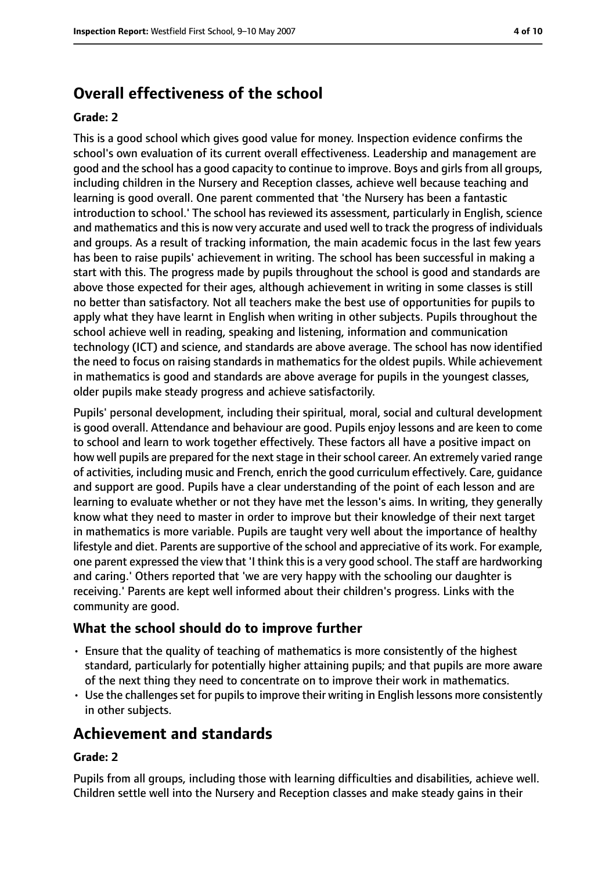# **Overall effectiveness of the school**

#### **Grade: 2**

This is a good school which gives good value for money. Inspection evidence confirms the school's own evaluation of its current overall effectiveness. Leadership and management are good and the school has a good capacity to continue to improve. Boys and girls from all groups, including children in the Nursery and Reception classes, achieve well because teaching and learning is good overall. One parent commented that 'the Nursery has been a fantastic introduction to school.' The school has reviewed its assessment, particularly in English, science and mathematics and this is now very accurate and used well to track the progress of individuals and groups. As a result of tracking information, the main academic focus in the last few years has been to raise pupils' achievement in writing. The school has been successful in making a start with this. The progress made by pupils throughout the school is good and standards are above those expected for their ages, although achievement in writing in some classes is still no better than satisfactory. Not all teachers make the best use of opportunities for pupils to apply what they have learnt in English when writing in other subjects. Pupils throughout the school achieve well in reading, speaking and listening, information and communication technology (ICT) and science, and standards are above average. The school has now identified the need to focus on raising standards in mathematics for the oldest pupils. While achievement in mathematics is good and standards are above average for pupils in the youngest classes, older pupils make steady progress and achieve satisfactorily.

Pupils' personal development, including their spiritual, moral, social and cultural development is good overall. Attendance and behaviour are good. Pupils enjoy lessons and are keen to come to school and learn to work together effectively. These factors all have a positive impact on how well pupils are prepared for the next stage in their school career. An extremely varied range of activities, including music and French, enrich the good curriculum effectively. Care, guidance and support are good. Pupils have a clear understanding of the point of each lesson and are learning to evaluate whether or not they have met the lesson's aims. In writing, they generally know what they need to master in order to improve but their knowledge of their next target in mathematics is more variable. Pupils are taught very well about the importance of healthy lifestyle and diet. Parents are supportive of the school and appreciative of its work. For example, one parent expressed the view that 'I think thisis a very good school. The staff are hardworking and caring.' Others reported that 'we are very happy with the schooling our daughter is receiving.' Parents are kept well informed about their children's progress. Links with the community are good.

## **What the school should do to improve further**

- Ensure that the quality of teaching of mathematics is more consistently of the highest standard, particularly for potentially higher attaining pupils; and that pupils are more aware of the next thing they need to concentrate on to improve their work in mathematics.
- Use the challenges set for pupils to improve their writing in English lessons more consistently in other subjects.

# **Achievement and standards**

#### **Grade: 2**

Pupils from all groups, including those with learning difficulties and disabilities, achieve well. Children settle well into the Nursery and Reception classes and make steady gains in their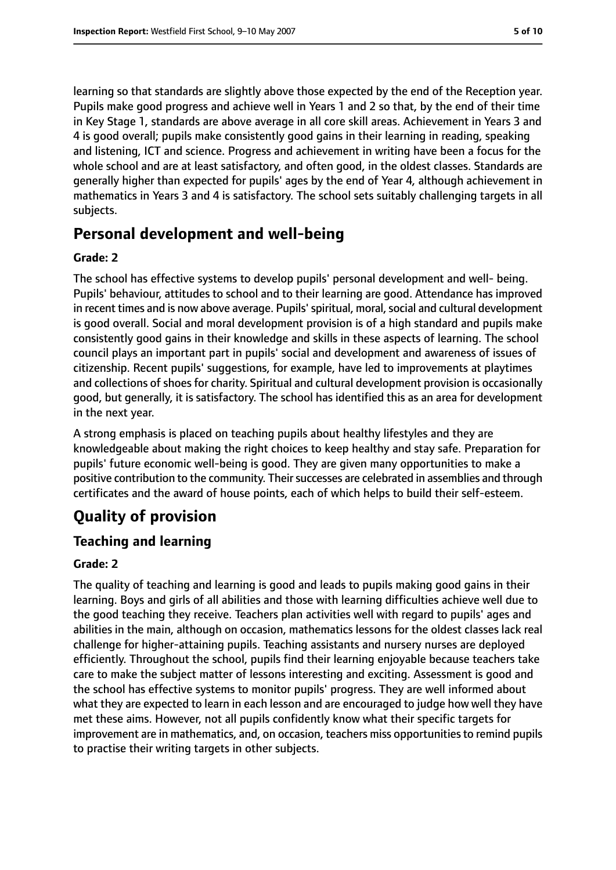learning so that standards are slightly above those expected by the end of the Reception year. Pupils make good progress and achieve well in Years 1 and 2 so that, by the end of their time in Key Stage 1, standards are above average in all core skill areas. Achievement in Years 3 and 4 is good overall; pupils make consistently good gains in their learning in reading, speaking and listening, ICT and science. Progress and achievement in writing have been a focus for the whole school and are at least satisfactory, and often good, in the oldest classes. Standards are generally higher than expected for pupils' ages by the end of Year 4, although achievement in mathematics in Years 3 and 4 is satisfactory. The school sets suitably challenging targets in all subjects.

# **Personal development and well-being**

#### **Grade: 2**

The school has effective systems to develop pupils' personal development and well- being. Pupils' behaviour, attitudes to school and to their learning are good. Attendance has improved in recent times and is now above average. Pupils' spiritual, moral, social and cultural development is good overall. Social and moral development provision is of a high standard and pupils make consistently good gains in their knowledge and skills in these aspects of learning. The school council plays an important part in pupils' social and development and awareness of issues of citizenship. Recent pupils' suggestions, for example, have led to improvements at playtimes and collections of shoes for charity. Spiritual and cultural development provision is occasionally good, but generally, it is satisfactory. The school has identified this as an area for development in the next year.

A strong emphasis is placed on teaching pupils about healthy lifestyles and they are knowledgeable about making the right choices to keep healthy and stay safe. Preparation for pupils' future economic well-being is good. They are given many opportunities to make a positive contribution to the community. Their successes are celebrated in assemblies and through certificates and the award of house points, each of which helps to build their self-esteem.

# **Quality of provision**

## **Teaching and learning**

#### **Grade: 2**

The quality of teaching and learning is good and leads to pupils making good gains in their learning. Boys and girls of all abilities and those with learning difficulties achieve well due to the good teaching they receive. Teachers plan activities well with regard to pupils' ages and abilities in the main, although on occasion, mathematics lessons for the oldest classes lack real challenge for higher-attaining pupils. Teaching assistants and nursery nurses are deployed efficiently. Throughout the school, pupils find their learning enjoyable because teachers take care to make the subject matter of lessons interesting and exciting. Assessment is good and the school has effective systems to monitor pupils' progress. They are well informed about what they are expected to learn in each lesson and are encouraged to judge how well they have met these aims. However, not all pupils confidently know what their specific targets for improvement are in mathematics, and, on occasion, teachers miss opportunities to remind pupils to practise their writing targets in other subjects.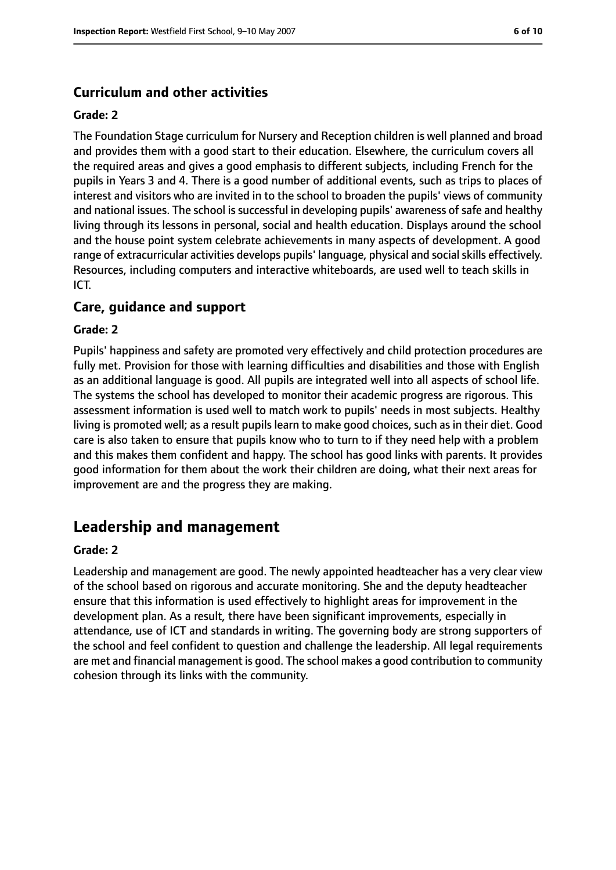## **Curriculum and other activities**

#### **Grade: 2**

The Foundation Stage curriculum for Nursery and Reception children is well planned and broad and provides them with a good start to their education. Elsewhere, the curriculum covers all the required areas and gives a good emphasis to different subjects, including French for the pupils in Years 3 and 4. There is a good number of additional events, such as trips to places of interest and visitors who are invited in to the school to broaden the pupils' views of community and national issues. The school is successful in developing pupils' awareness of safe and healthy living through its lessons in personal, social and health education. Displays around the school and the house point system celebrate achievements in many aspects of development. A good range of extracurricular activities develops pupils' language, physical and social skills effectively. Resources, including computers and interactive whiteboards, are used well to teach skills in ICT.

## **Care, guidance and support**

#### **Grade: 2**

Pupils' happiness and safety are promoted very effectively and child protection procedures are fully met. Provision for those with learning difficulties and disabilities and those with English as an additional language is good. All pupils are integrated well into all aspects of school life. The systems the school has developed to monitor their academic progress are rigorous. This assessment information is used well to match work to pupils' needs in most subjects. Healthy living is promoted well; as a result pupils learn to make good choices, such as in their diet. Good care is also taken to ensure that pupils know who to turn to if they need help with a problem and this makes them confident and happy. The school has good links with parents. It provides good information for them about the work their children are doing, what their next areas for improvement are and the progress they are making.

# **Leadership and management**

#### **Grade: 2**

Leadership and management are good. The newly appointed headteacher has a very clear view of the school based on rigorous and accurate monitoring. She and the deputy headteacher ensure that this information is used effectively to highlight areas for improvement in the development plan. As a result, there have been significant improvements, especially in attendance, use of ICT and standards in writing. The governing body are strong supporters of the school and feel confident to question and challenge the leadership. All legal requirements are met and financial management is good. The school makes a good contribution to community cohesion through its links with the community.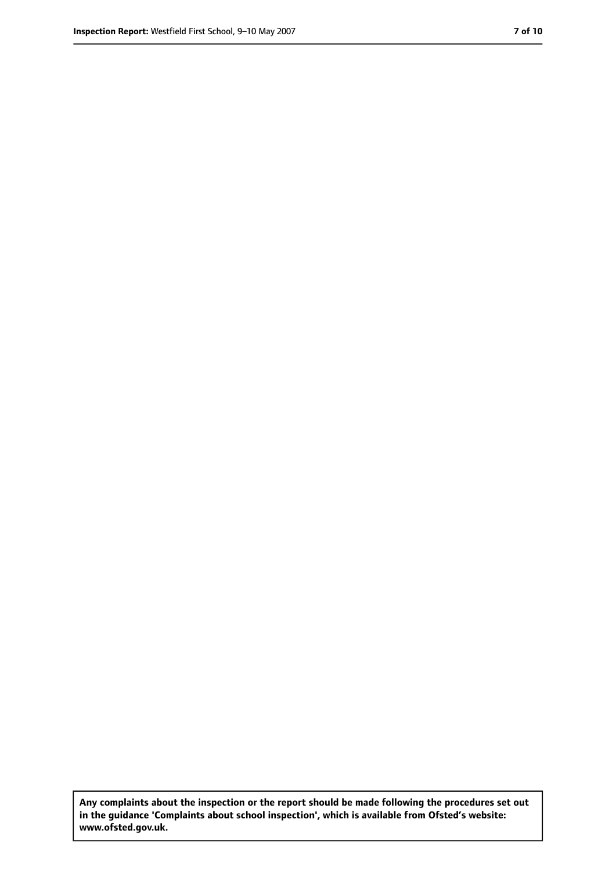**Any complaints about the inspection or the report should be made following the procedures set out in the guidance 'Complaints about school inspection', which is available from Ofsted's website: www.ofsted.gov.uk.**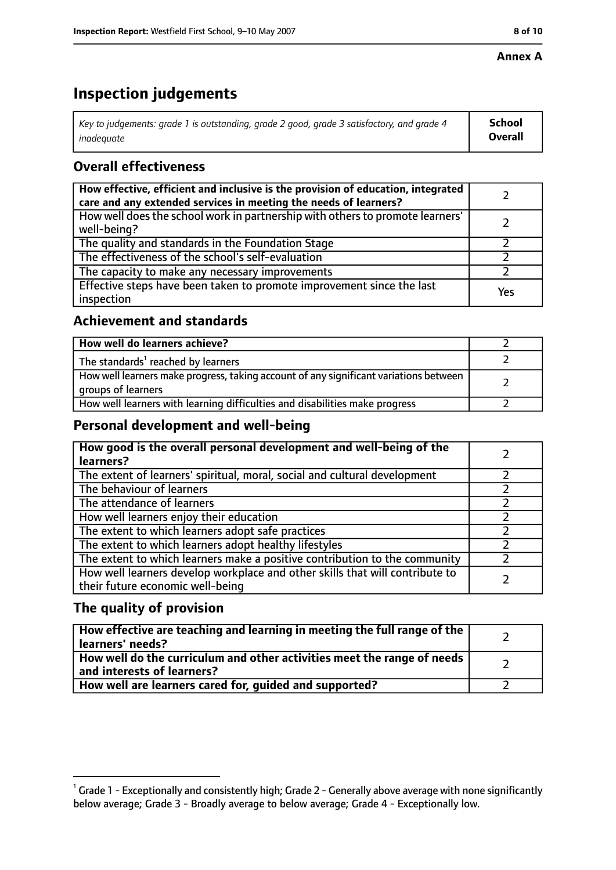#### **Annex A**

# **Inspection judgements**

| Key to judgements: grade 1 is outstanding, grade 2 good, grade 3 satisfactory, and grade 4 $\,$ | <b>School</b>  |
|-------------------------------------------------------------------------------------------------|----------------|
| inadequate                                                                                      | <b>Overall</b> |

# **Overall effectiveness**

| How effective, efficient and inclusive is the provision of education, integrated<br>care and any extended services in meeting the needs of learners? |     |
|------------------------------------------------------------------------------------------------------------------------------------------------------|-----|
| How well does the school work in partnership with others to promote learners'<br>well-being?                                                         |     |
| The quality and standards in the Foundation Stage                                                                                                    |     |
| The effectiveness of the school's self-evaluation                                                                                                    |     |
| The capacity to make any necessary improvements                                                                                                      |     |
| Effective steps have been taken to promote improvement since the last<br>inspection                                                                  | Yes |

## **Achievement and standards**

| How well do learners achieve?                                                                               |  |
|-------------------------------------------------------------------------------------------------------------|--|
| The standards <sup>1</sup> reached by learners                                                              |  |
| How well learners make progress, taking account of any significant variations between<br>groups of learners |  |
| How well learners with learning difficulties and disabilities make progress                                 |  |

## **Personal development and well-being**

| How good is the overall personal development and well-being of the<br>learners?                                  |  |
|------------------------------------------------------------------------------------------------------------------|--|
| The extent of learners' spiritual, moral, social and cultural development                                        |  |
| The behaviour of learners                                                                                        |  |
| The attendance of learners                                                                                       |  |
| How well learners enjoy their education                                                                          |  |
| The extent to which learners adopt safe practices                                                                |  |
| The extent to which learners adopt healthy lifestyles                                                            |  |
| The extent to which learners make a positive contribution to the community                                       |  |
| How well learners develop workplace and other skills that will contribute to<br>their future economic well-being |  |

## **The quality of provision**

| How effective are teaching and learning in meeting the full range of the<br>learners' needs?          |  |
|-------------------------------------------------------------------------------------------------------|--|
| How well do the curriculum and other activities meet the range of needs<br>and interests of learners? |  |
| How well are learners cared for, quided and supported?                                                |  |

 $^1$  Grade 1 - Exceptionally and consistently high; Grade 2 - Generally above average with none significantly below average; Grade 3 - Broadly average to below average; Grade 4 - Exceptionally low.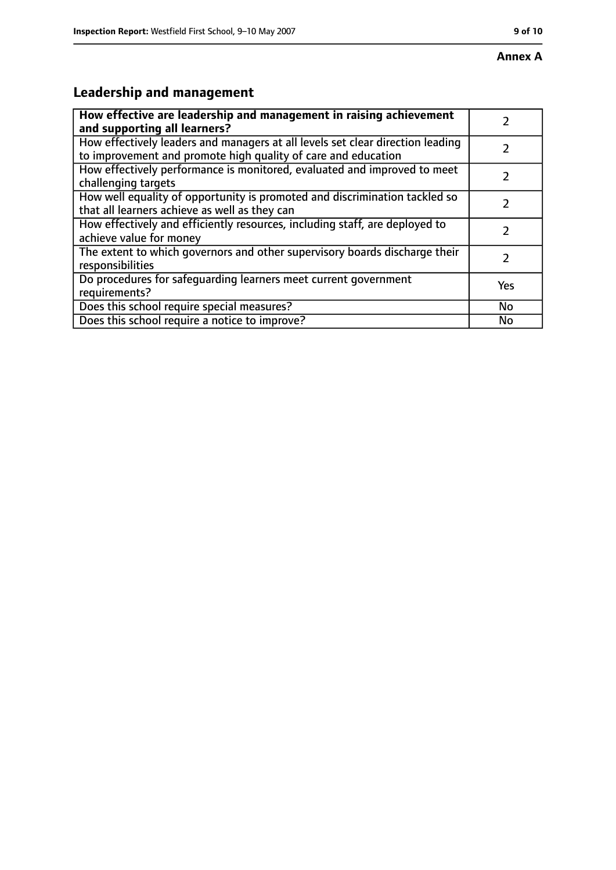# **Leadership and management**

| How effective are leadership and management in raising achievement<br>and supporting all learners?                                              |     |
|-------------------------------------------------------------------------------------------------------------------------------------------------|-----|
| How effectively leaders and managers at all levels set clear direction leading<br>to improvement and promote high quality of care and education |     |
| How effectively performance is monitored, evaluated and improved to meet<br>challenging targets                                                 |     |
| How well equality of opportunity is promoted and discrimination tackled so<br>that all learners achieve as well as they can                     |     |
| How effectively and efficiently resources, including staff, are deployed to<br>achieve value for money                                          |     |
| The extent to which governors and other supervisory boards discharge their<br>responsibilities                                                  | 7   |
| Do procedures for safequarding learners meet current government<br>requirements?                                                                | Yes |
| Does this school require special measures?                                                                                                      | No  |
| Does this school require a notice to improve?                                                                                                   | No  |